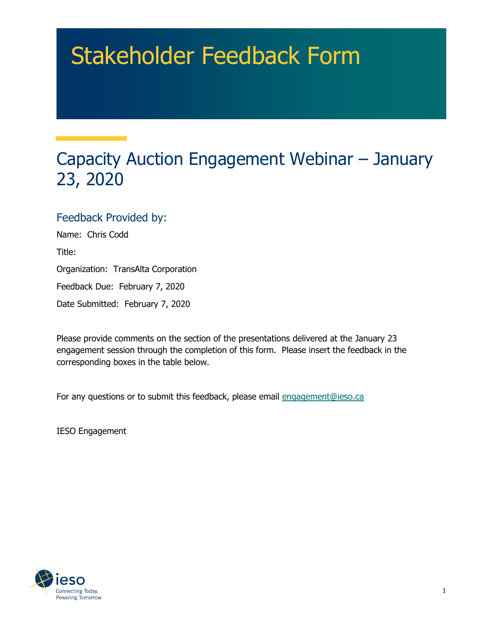# Stakeholder Feedback Form

# Capacity Auction Engagement Webinar – January 23, 2020

#### Feedback Provided by:

Name: Chris Codd Title: Organization: TransAlta Corporation Feedback Due: February 7, 2020 Date Submitted: February 7, 2020

Please provide comments on the section of the presentations delivered at the January 23 engagement session through the completion of this form. Please insert the feedback in the corresponding boxes in the table below.

For any questions or to submit this feedback, please email engagement@ieso.ca

IESO Engagement

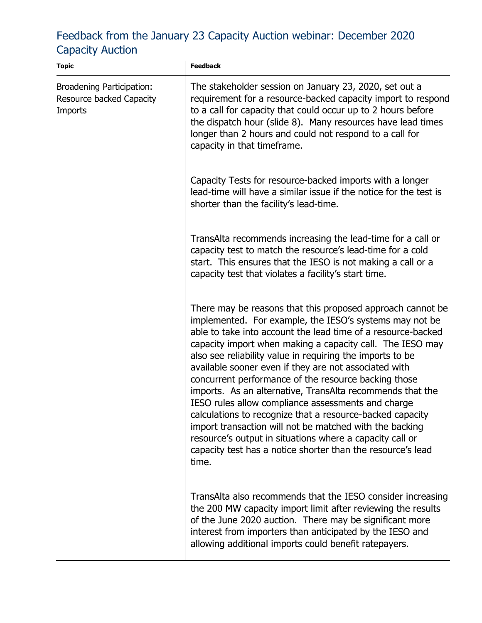## Feedback from the January 23 Capacity Auction webinar: December 2020 Capacity Auction

| <b>Topic</b>                                                            | <b>Feedback</b>                                                                                                                                                                                                                                                                                                                                                                                                                                                                                                                                                                                                                                                                                                                                                                                                 |
|-------------------------------------------------------------------------|-----------------------------------------------------------------------------------------------------------------------------------------------------------------------------------------------------------------------------------------------------------------------------------------------------------------------------------------------------------------------------------------------------------------------------------------------------------------------------------------------------------------------------------------------------------------------------------------------------------------------------------------------------------------------------------------------------------------------------------------------------------------------------------------------------------------|
| <b>Broadening Participation:</b><br>Resource backed Capacity<br>Imports | The stakeholder session on January 23, 2020, set out a<br>requirement for a resource-backed capacity import to respond<br>to a call for capacity that could occur up to 2 hours before<br>the dispatch hour (slide 8). Many resources have lead times<br>longer than 2 hours and could not respond to a call for<br>capacity in that timeframe.                                                                                                                                                                                                                                                                                                                                                                                                                                                                 |
|                                                                         | Capacity Tests for resource-backed imports with a longer<br>lead-time will have a similar issue if the notice for the test is<br>shorter than the facility's lead-time.                                                                                                                                                                                                                                                                                                                                                                                                                                                                                                                                                                                                                                         |
|                                                                         | TransAlta recommends increasing the lead-time for a call or<br>capacity test to match the resource's lead-time for a cold<br>start. This ensures that the IESO is not making a call or a<br>capacity test that violates a facility's start time.                                                                                                                                                                                                                                                                                                                                                                                                                                                                                                                                                                |
|                                                                         | There may be reasons that this proposed approach cannot be<br>implemented. For example, the IESO's systems may not be<br>able to take into account the lead time of a resource-backed<br>capacity import when making a capacity call. The IESO may<br>also see reliability value in requiring the imports to be<br>available sooner even if they are not associated with<br>concurrent performance of the resource backing those<br>imports. As an alternative, TransAlta recommends that the<br>IESO rules allow compliance assessments and charge<br>calculations to recognize that a resource-backed capacity<br>import transaction will not be matched with the backing<br>resource's output in situations where a capacity call or<br>capacity test has a notice shorter than the resource's lead<br>time. |
|                                                                         | TransAlta also recommends that the IESO consider increasing<br>the 200 MW capacity import limit after reviewing the results<br>of the June 2020 auction. There may be significant more<br>interest from importers than anticipated by the IESO and<br>allowing additional imports could benefit ratepayers.                                                                                                                                                                                                                                                                                                                                                                                                                                                                                                     |